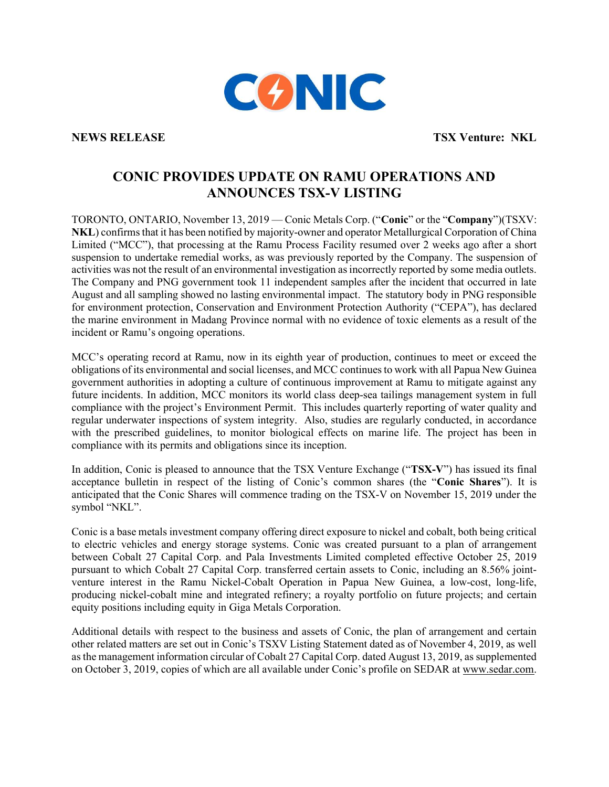

NEWS RELEASE TSX Venture: NKL

## CONIC PROVIDES UPDATE ON RAMU OPERATIONS AND ANNOUNCES TSX-V LISTING

TORONTO, ONTARIO, November 13, 2019 — Conic Metals Corp. ("Conic" or the "Company")(TSXV: NKL) confirms that it has been notified by majority-owner and operator Metallurgical Corporation of China Limited ("MCC"), that processing at the Ramu Process Facility resumed over 2 weeks ago after a short suspension to undertake remedial works, as was previously reported by the Company. The suspension of activities was not the result of an environmental investigation as incorrectly reported by some media outlets. The Company and PNG government took 11 independent samples after the incident that occurred in late August and all sampling showed no lasting environmental impact. The statutory body in PNG responsible for environment protection, Conservation and Environment Protection Authority ("CEPA"), has declared the marine environment in Madang Province normal with no evidence of toxic elements as a result of the incident or Ramu's ongoing operations.

MCC's operating record at Ramu, now in its eighth year of production, continues to meet or exceed the obligations of its environmental and social licenses, and MCC continues to work with all Papua New Guinea government authorities in adopting a culture of continuous improvement at Ramu to mitigate against any future incidents. In addition, MCC monitors its world class deep-sea tailings management system in full compliance with the project's Environment Permit. This includes quarterly reporting of water quality and regular underwater inspections of system integrity. Also, studies are regularly conducted, in accordance with the prescribed guidelines, to monitor biological effects on marine life. The project has been in compliance with its permits and obligations since its inception.

In addition, Conic is pleased to announce that the TSX Venture Exchange ("TSX-V") has issued its final acceptance bulletin in respect of the listing of Conic's common shares (the "Conic Shares"). It is anticipated that the Conic Shares will commence trading on the TSX-V on November 15, 2019 under the symbol "NKL".

Conic is a base metals investment company offering direct exposure to nickel and cobalt, both being critical to electric vehicles and energy storage systems. Conic was created pursuant to a plan of arrangement between Cobalt 27 Capital Corp. and Pala Investments Limited completed effective October 25, 2019 pursuant to which Cobalt 27 Capital Corp. transferred certain assets to Conic, including an 8.56% jointventure interest in the Ramu Nickel-Cobalt Operation in Papua New Guinea, a low-cost, long-life, producing nickel-cobalt mine and integrated refinery; a royalty portfolio on future projects; and certain equity positions including equity in Giga Metals Corporation.

Additional details with respect to the business and assets of Conic, the plan of arrangement and certain other related matters are set out in Conic's TSXV Listing Statement dated as of November 4, 2019, as well as the management information circular of Cobalt 27 Capital Corp. dated August 13, 2019, as supplemented on October 3, 2019, copies of which are all available under Conic's profile on SEDAR at www.sedar.com.